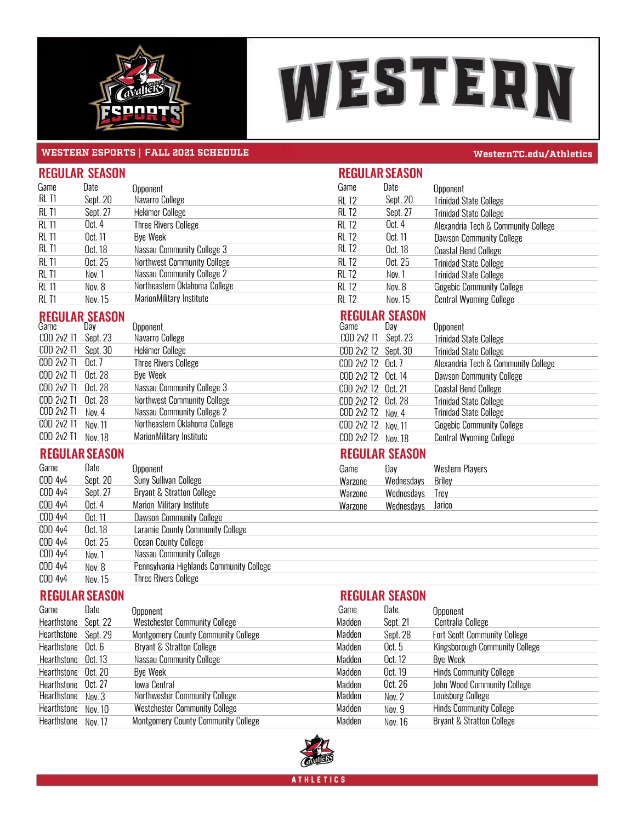



### **WESTERN ESPORTS | FALL 2021 SCHEDULE**<br>REGULAR **REGULAR CONSUMING <b>REGULAR REGULAR REGULAR WESTERN CONSUMING <b>REGULAR REGULAR REGULAR REGULAR REGULAR CONSUMING <b>REGULAR REGULAR REGULAR CONSUMING <b>REGULAR**

| <b>REGULAR SEASON</b> |          |                                    |                   | <b>REGULAR SEASON</b> |                                     |  |  |
|-----------------------|----------|------------------------------------|-------------------|-----------------------|-------------------------------------|--|--|
| Game                  | Date     | Opponent                           | Game              | Date                  | Opponent                            |  |  |
| RL T1                 | Sept. 20 | Navarro College                    | RL T <sub>2</sub> | Sept. 20              | <b>Trinidad State College</b>       |  |  |
| RL T1                 | Sept. 27 | <b>Hekimer College</b>             | RL T <sub>2</sub> | Sept. 27              | <b>Trinidad State College</b>       |  |  |
| RL T1                 | Oct. 4   | <b>Three Rivers College</b>        | RL T2             | Oct. 4                | Alexandria Tech & Community College |  |  |
| RL T1                 | Oct. 11  | Bye Week                           | RL T2             | Oct. 11               | <b>Dawson Community College</b>     |  |  |
| RL T1                 | Oct. 18  | Nassau Community College 3         | RL T <sub>2</sub> | Oct. 18               | <b>Coastal Bend College</b>         |  |  |
| RL T1                 | Oct. 25  | <b>Northwest Community College</b> | RL T <sub>2</sub> | Oct. 25               | <b>Trinidad State College</b>       |  |  |
| RL T1                 | Nov. 1   | <b>Nassau Community College 2</b>  | RL T2             | Nov.1                 | <b>Trinidad State College</b>       |  |  |
| <b>RL T1</b>          | Nov. 8   | Northeastern Oklahoma College      | RL T <sub>2</sub> | Nov. 8                | <b>Gogebic Community College</b>    |  |  |
| RL T1                 | Nov. 15  | Marion Military Institute          | RL T2             | Nov. 15               | <b>Central Wyoming College</b>      |  |  |

# **REGULAR SEASON REGULAR SEASON**

| newwein venvon      |         |                                    |                     | .     |                                     |
|---------------------|---------|------------------------------------|---------------------|-------|-------------------------------------|
| Game                | Day     | Opponent                           | Game                | Day l | Opponent                            |
| COD 2v2 T1 Sept. 23 |         | Navarro College                    | COD 2v2 T1 Sept. 23 |       | <b>Trinidad State College</b>       |
| COD 2v2 T1 Sept. 30 |         | <b>Hekimer College</b>             | COD 2v2 T2 Sept. 30 |       | <b>Trinidad State College</b>       |
| COD 2v2 T1 Oct. 7   |         | <b>Three Rivers College</b>        | COD 2v2 T2 Oct. 7   |       | Alexandria Tech & Community College |
| COD 2v2 T1 Oct. 28  |         | Bye Week                           | COD 2v2 T2 Oct. 14  |       | <b>Dawson Community College</b>     |
| COD 2v2 T1 Oct. 28  |         | Nassau Community College 3         | COD 2v2 T2 Oct. 21  |       | <b>Coastal Bend College</b>         |
| COD 2v2 T1 Oct. 28  |         | <b>Northwest Community College</b> | COD 2v2 T2 Oct. 28  |       | <b>Trinidad State College</b>       |
| COD 2v2 T1          | Nov. 4  | <b>Nassau Community College 2</b>  | $COD$ 2v2 T2 Nov. 4 |       | <b>Trinidad State College</b>       |
| COD 2v2 T1          | Nov. 11 | Northeastern Oklahoma College      | COD 2v2 T2 Nov. 11  |       | <b>Gogebic Community College</b>    |
| COD 2v2 T1 Nov. 18  |         | <b>MarionMilitary Institute</b>    | COD 2v2 T2 Nov. 18  |       | <b>Central Wyoming College</b>      |
|                     |         |                                    |                     |       |                                     |

## **REGU REGULARSEASON REGULAR SEASON**

|                | <u>III wa matu waitu wa m</u> |                                          |         |            |                        |  |
|----------------|-------------------------------|------------------------------------------|---------|------------|------------------------|--|
| Game           | Date                          | Opponent                                 | Game    | Dav        | <b>Western Players</b> |  |
| COD 4v4        | Sept. 20                      | <b>Suny Sullivan College</b>             | Warzone | Wednesdays | Briley                 |  |
| COD 4v4        | Sept. 27                      | <b>Bryant &amp; Stratton College</b>     | Warzone | Wednesdays | Trev                   |  |
| <b>COD 4v4</b> | Oct. 4                        | Marion Military Institute                | Warzone | Wednesdays | Jarico                 |  |
| COD 4v4        | Oct. 11                       | <b>Dawson Community College</b>          |         |            |                        |  |
| COD 4v4        | Oct. 18                       | Laramie County Community College         |         |            |                        |  |
| COD 4v4        | Oct. 25                       | <b>Ocean County College</b>              |         |            |                        |  |
| COD 4v4        | Nov. 1                        | <b>Nassau Community College</b>          |         |            |                        |  |
| <b>COD 4v4</b> | Nov. 8                        | Pennsylvania Highlands Community College |         |            |                        |  |
| COD 4v4        | Nov. 15                       | <b>Three Rivers College</b>              |         |            |                        |  |
|                |                               |                                          |         |            |                        |  |

## **REGU REGULARSEASON REGULAR SEASON**

| INLUULMIN OLMOUIN    |          |                                            |        | INLUULMIN OLAOUIT |                                       |  |
|----------------------|----------|--------------------------------------------|--------|-------------------|---------------------------------------|--|
| Game                 | Date     | Opponent                                   | Game   | Date              | Opponent                              |  |
| Hearthstone          | Sept. 22 | <b>Westchester Community College</b>       | Madden | Sept. 21          | Centralia College                     |  |
| Hearthstone Sept. 29 |          | <b>Montgomery County Community College</b> | Madden | Sept. 28          | <b>Fort Scott Community College</b>   |  |
| Hearthstone Oct. 6   |          | <b>Bryant &amp; Stratton College</b>       | Madden | Oct. $5$          | <b>Kingsborough Community College</b> |  |
| Hearthstone Oct. 13  |          | <b>Nassau Community College</b>            | Madden | Oct. 12           | Bye Week                              |  |
| Hearthstone Oct. 20  |          | <b>Bve Week</b>                            | Madden | Oct. 19           | <b>Hinds Community College</b>        |  |
| Hearthstone Oct. 27  |          | lowa Central                               | Madden | Oct. 26           | John Wood Community College           |  |
| Hearthstone Nov. 3   |          | <b>Northwester Community College</b>       | Madden | Nov. 2            | Louisburg College                     |  |
| Hearthstone Nov. 10  |          | <b>Westchester Community College</b>       | Madden | Nov. 9            | <b>Hinds Community College</b>        |  |
| Hearthstone Nov. 17  |          | <b>Montgomery County Community College</b> | Madden | Nov. 16           | <b>Bryant &amp; Stratton College</b>  |  |